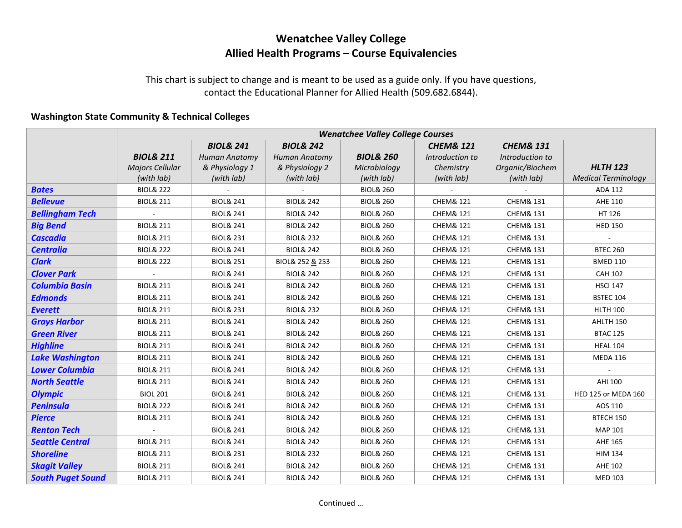## **Wenatchee Valley College Allied Health Programs – Course Equivalencies**

This chart is subject to change and is meant to be used as a guide only. If you have questions, contact the Educational Planner for Allied Health (509.682.6844).

## **Washington State Community & Technical Colleges**

|                          | <b>Wenatchee Valley College Courses</b> |                      |                      |                      |                      |                      |                            |  |
|--------------------------|-----------------------------------------|----------------------|----------------------|----------------------|----------------------|----------------------|----------------------------|--|
|                          |                                         | <b>BIOL&amp; 241</b> | <b>BIOL&amp; 242</b> |                      | <b>CHEM&amp; 121</b> | <b>CHEM&amp; 131</b> |                            |  |
|                          | <b>BIOL&amp; 211</b>                    | <b>Human Anatomy</b> | <b>Human Anatomy</b> | <b>BIOL&amp; 260</b> | Introduction to      | Introduction to      |                            |  |
|                          | Majors Cellular                         | & Physiology 1       | & Physiology 2       | Microbiology         | Chemistry            | Organic/Biochem      | <b>HLTH 123</b>            |  |
|                          | (with lab)                              | (with lab)           | (with lab)           | (with lab)           | (with lab)           | (with lab)           | <b>Medical Terminology</b> |  |
| <b>Bates</b>             | <b>BIOL&amp; 222</b>                    |                      |                      | <b>BIOL&amp; 260</b> |                      |                      | ADA 112                    |  |
| <b>Bellevue</b>          | <b>BIOL&amp; 211</b>                    | <b>BIOL&amp; 241</b> | <b>BIOL&amp; 242</b> | <b>BIOL&amp; 260</b> | <b>CHEM&amp; 121</b> | <b>CHEM&amp; 131</b> | AHE 110                    |  |
| <b>Bellingham Tech</b>   |                                         | <b>BIOL&amp; 241</b> | <b>BIOL&amp; 242</b> | <b>BIOL&amp; 260</b> | <b>CHEM&amp; 121</b> | <b>CHEM&amp; 131</b> | HT 126                     |  |
| <b>Big Bend</b>          | <b>BIOL&amp; 211</b>                    | <b>BIOL&amp; 241</b> | <b>BIOL&amp; 242</b> | <b>BIOL&amp; 260</b> | <b>CHEM&amp; 121</b> | <b>CHEM&amp; 131</b> | <b>HED 150</b>             |  |
| <b>Cascadia</b>          | <b>BIOL&amp; 211</b>                    | <b>BIOL&amp; 231</b> | <b>BIOL&amp; 232</b> | <b>BIOL&amp; 260</b> | <b>CHEM&amp; 121</b> | <b>CHEM&amp; 131</b> |                            |  |
| <b>Centralia</b>         | <b>BIOL&amp; 222</b>                    | <b>BIOL&amp; 241</b> | <b>BIOL&amp; 242</b> | <b>BIOL&amp; 260</b> | <b>CHEM&amp; 121</b> | <b>CHEM&amp; 131</b> | <b>BTEC 260</b>            |  |
| <b>Clark</b>             | <b>BIOL&amp; 222</b>                    | <b>BIOL&amp; 251</b> | BIOL& 252 & 253      | <b>BIOL&amp; 260</b> | <b>CHEM&amp; 121</b> | <b>CHEM&amp; 131</b> | <b>BMED 110</b>            |  |
| <b>Clover Park</b>       |                                         | <b>BIOL&amp; 241</b> | <b>BIOL&amp; 242</b> | <b>BIOL&amp; 260</b> | <b>CHEM&amp; 121</b> | <b>CHEM&amp; 131</b> | <b>CAH 102</b>             |  |
| <b>Columbia Basin</b>    | <b>BIOL&amp; 211</b>                    | <b>BIOL&amp; 241</b> | <b>BIOL&amp; 242</b> | <b>BIOL&amp; 260</b> | <b>CHEM&amp; 121</b> | <b>CHEM&amp; 131</b> | <b>HSCI 147</b>            |  |
| <b>Edmonds</b>           | <b>BIOL&amp; 211</b>                    | <b>BIOL&amp; 241</b> | <b>BIOL&amp; 242</b> | <b>BIOL&amp; 260</b> | <b>CHEM&amp; 121</b> | <b>CHEM&amp; 131</b> | <b>BSTEC 104</b>           |  |
| <b>Everett</b>           | <b>BIOL&amp; 211</b>                    | <b>BIOL&amp; 231</b> | <b>BIOL&amp; 232</b> | <b>BIOL&amp; 260</b> | <b>CHEM&amp; 121</b> | <b>CHEM&amp; 131</b> | <b>HLTH 100</b>            |  |
| <b>Grays Harbor</b>      | <b>BIOL&amp; 211</b>                    | <b>BIOL&amp; 241</b> | <b>BIOL&amp; 242</b> | <b>BIOL&amp; 260</b> | <b>CHEM&amp; 121</b> | <b>CHEM&amp; 131</b> | AHLTH 150                  |  |
| <b>Green River</b>       | <b>BIOL&amp; 211</b>                    | <b>BIOL&amp; 241</b> | <b>BIOL&amp; 242</b> | <b>BIOL&amp; 260</b> | <b>CHEM&amp; 121</b> | <b>CHEM&amp; 131</b> | <b>BTAC 125</b>            |  |
| <b>Highline</b>          | <b>BIOL&amp; 211</b>                    | <b>BIOL&amp; 241</b> | <b>BIOL&amp; 242</b> | <b>BIOL&amp; 260</b> | <b>CHEM&amp; 121</b> | <b>CHEM&amp; 131</b> | <b>HEAL 104</b>            |  |
| <b>Lake Washington</b>   | <b>BIOL&amp; 211</b>                    | <b>BIOL&amp; 241</b> | <b>BIOL&amp; 242</b> | <b>BIOL&amp; 260</b> | <b>CHEM&amp; 121</b> | <b>CHEM&amp; 131</b> | <b>MEDA 116</b>            |  |
| <b>Lower Columbia</b>    | <b>BIOL&amp; 211</b>                    | <b>BIOL&amp; 241</b> | <b>BIOL&amp; 242</b> | <b>BIOL&amp; 260</b> | <b>CHEM&amp; 121</b> | <b>CHEM&amp; 131</b> |                            |  |
| <b>North Seattle</b>     | <b>BIOL&amp; 211</b>                    | <b>BIOL&amp; 241</b> | <b>BIOL&amp; 242</b> | <b>BIOL&amp; 260</b> | <b>CHEM&amp; 121</b> | <b>CHEM&amp; 131</b> | <b>AHI 100</b>             |  |
| <b>Olympic</b>           | <b>BIOL 201</b>                         | <b>BIOL&amp; 241</b> | <b>BIOL&amp; 242</b> | <b>BIOL&amp; 260</b> | <b>CHEM&amp; 121</b> | <b>CHEM&amp; 131</b> | HED 125 or MEDA 160        |  |
| <b>Peninsula</b>         | <b>BIOL&amp; 222</b>                    | <b>BIOL&amp; 241</b> | <b>BIOL&amp; 242</b> | <b>BIOL&amp; 260</b> | <b>CHEM&amp; 121</b> | <b>CHEM&amp; 131</b> | AOS 110                    |  |
| <b>Pierce</b>            | <b>BIOL&amp; 211</b>                    | <b>BIOL&amp; 241</b> | <b>BIOL&amp; 242</b> | <b>BIOL&amp; 260</b> | <b>CHEM&amp; 121</b> | <b>CHEM&amp; 131</b> | BTECH 150                  |  |
| <b>Renton Tech</b>       |                                         | <b>BIOL&amp; 241</b> | <b>BIOL&amp; 242</b> | <b>BIOL&amp; 260</b> | <b>CHEM&amp; 121</b> | <b>CHEM&amp; 131</b> | MAP 101                    |  |
| <b>Seattle Central</b>   | <b>BIOL&amp; 211</b>                    | <b>BIOL&amp; 241</b> | <b>BIOL&amp; 242</b> | <b>BIOL&amp; 260</b> | <b>CHEM&amp; 121</b> | <b>CHEM&amp; 131</b> | AHE 165                    |  |
| <b>Shoreline</b>         | <b>BIOL&amp; 211</b>                    | <b>BIOL&amp; 231</b> | <b>BIOL&amp; 232</b> | <b>BIOL&amp; 260</b> | <b>CHEM&amp; 121</b> | <b>CHEM&amp; 131</b> | <b>HIM 134</b>             |  |
| <b>Skagit Valley</b>     | <b>BIOL&amp; 211</b>                    | <b>BIOL&amp; 241</b> | <b>BIOL&amp; 242</b> | <b>BIOL&amp; 260</b> | <b>CHEM&amp; 121</b> | <b>CHEM&amp; 131</b> | <b>AHE 102</b>             |  |
| <b>South Puget Sound</b> | <b>BIOL&amp; 211</b>                    | <b>BIOL&amp; 241</b> | <b>BIOL&amp; 242</b> | <b>BIOL&amp; 260</b> | <b>CHEM&amp; 121</b> | <b>CHEM&amp; 131</b> | <b>MED 103</b>             |  |